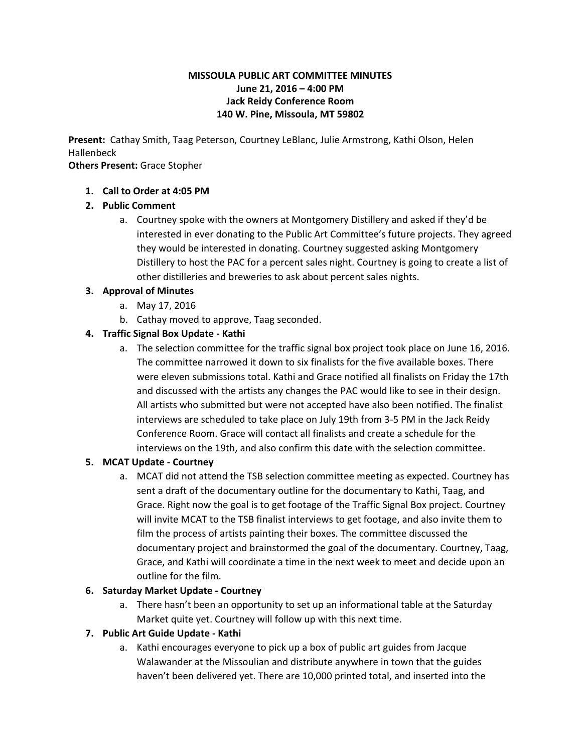#### **MISSOULA PUBLIC ART COMMITTEE MINUTES June 21, 2016 – 4:00 PM Jack Reidy Conference Room 140 W. Pine, Missoula, MT 59802**

**Present:**Cathay Smith, Taag Peterson, Courtney LeBlanc, Julie Armstrong, Kathi Olson, Helen Hallenbeck

#### **Others Present:**Grace Stopher

#### **1. Call to Order at 4:05 PM**

### **2. Public Comment**

a. Courtney spoke with the owners at Montgomery Distillery and asked if they'd be interested in ever donating to the Public Art Committee's future projects. They agreed they would be interested in donating. Courtney suggested asking Montgomery Distillery to host the PAC for a percent sales night. Courtney is going to create a list of other distilleries and breweries to ask about percent sales nights.

### **3. Approval of Minutes**

- a. May 17, 2016
- b. Cathay moved to approve, Taag seconded.

### **4. Traffic Signal Box Update Kathi**

a. The selection committee for the traffic signal box project took place on June 16, 2016. The committee narrowed it down to six finalists for the five available boxes. There were eleven submissions total. Kathi and Grace notified all finalists on Friday the 17th and discussed with the artists any changes the PAC would like to see in their design. All artists who submitted but were not accepted have also been notified. The finalist interviews are scheduled to take place on July 19th from 35 PM in the Jack Reidy Conference Room. Grace will contact all finalists and create a schedule for the interviews on the 19th, and also confirm this date with the selection committee.

#### **5. MCAT Update Courtney**

a. MCAT did not attend the TSB selection committee meeting as expected. Courtney has sent a draft of the documentary outline for the documentary to Kathi, Taag, and Grace. Right now the goal is to get footage of the Traffic Signal Box project. Courtney will invite MCAT to the TSB finalist interviews to get footage, and also invite them to film the process of artists painting their boxes. The committee discussed the documentary project and brainstormed the goal of the documentary. Courtney, Taag, Grace, and Kathi will coordinate a time in the next week to meet and decide upon an outline for the film.

#### **6. Saturday Market Update Courtney**

a. There hasn't been an opportunity to set up an informational table at the Saturday Market quite yet. Courtney will follow up with this next time.

## **7. Public Art Guide Update Kathi**

a. Kathi encourages everyone to pick up a box of public art guides from Jacque Walawander at the Missoulian and distribute anywhere in town that the guides haven't been delivered yet. There are 10,000 printed total, and inserted into the